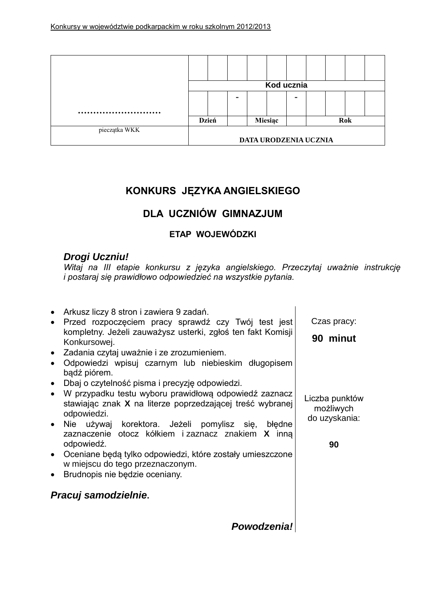

# **KONKURS JĘZYKA ANGIELSKIEGO**

# **DLA UCZNIÓW GIMNAZJUM**

### **ETAP WOJEWÓDZKI**

## *Drogi Uczniu!*

*Witaj na III etapie konkursu z języka angielskiego. Przeczytaj uważnie instrukcję i postaraj się prawidłowo odpowiedzieć na wszystkie pytania.*

| Arkusz liczy 8 stron i zawiera 9 zadań.<br>Przed rozpoczęciem pracy sprawdź czy Twój test jest<br>$\bullet$<br>kompletny. Jeżeli zauważysz usterki, zgłoś ten fakt Komisji<br>Konkursowej.<br>Zadania czytaj uważnie i ze zrozumieniem.<br>$\bullet$ | Czas pracy:<br>90 minut                      |
|------------------------------------------------------------------------------------------------------------------------------------------------------------------------------------------------------------------------------------------------------|----------------------------------------------|
| Odpowiedzi wpisuj czarnym lub niebieskim długopisem<br>$\bullet$<br>bądź piórem.<br>Dbaj o czytelność pisma i precyzję odpowiedzi.<br>$\bullet$                                                                                                      |                                              |
| • W przypadku testu wyboru prawidłową odpowiedź zaznacz<br>stawiając znak X na literze poprzedzającej treść wybranej<br>odpowiedzi.                                                                                                                  | Liczba punktów<br>możliwych<br>do uzyskania: |
| • Nie używaj korektora. Jeżeli pomylisz się, błędne<br>zaznaczenie otocz kółkiem i zaznacz znakiem X inna<br>odpowiedź.<br>• Oceniane będą tylko odpowiedzi, które zostały umieszczone                                                               | 90                                           |
| w miejscu do tego przeznaczonym.<br>Brudnopis nie będzie oceniany.<br>$\bullet$                                                                                                                                                                      |                                              |
| Pracuj samodzielnie.                                                                                                                                                                                                                                 |                                              |
| Powodzenia!                                                                                                                                                                                                                                          |                                              |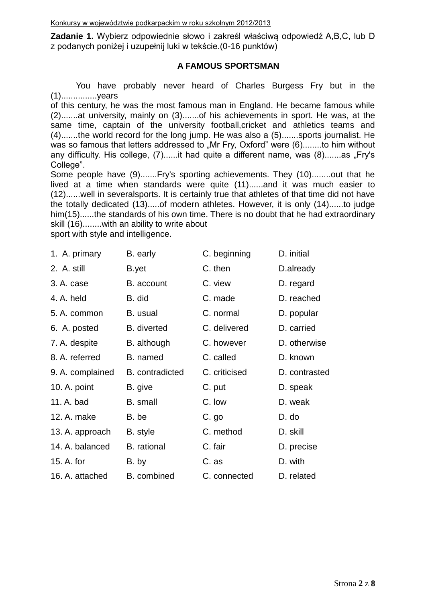**Zadanie 1.** Wybierz odpowiednie słowo i zakreśl właściwą odpowiedź A,B,C, lub D z podanych poniżej i uzupełnij luki w tekście.(0-16 punktów)

#### **A FAMOUS SPORTSMAN**

You have probably never heard of Charles Burgess Fry but in the (1)...............years

of this century, he was the most famous man in England. He became famous while (2).......at university, mainly on (3).......of his achievements in sport. He was, at the same time, captain of the university football,cricket and athletics teams and (4).......the world record for the long jump. He was also a (5).......sports journalist. He was so famous that letters addressed to "Mr Fry, Oxford" were (6)........to him without any difficulty. His college, (7)......it had quite a different name, was (8).......as "Fry's College".

Some people have (9).......Fry's sporting achievements. They (10)........out that he lived at a time when standards were quite (11)......and it was much easier to (12)......well in severalsports. It is certainly true that athletes of that time did not have the totally dedicated (13).....of modern athletes. However, it is only (14)......to judge him(15)......the standards of his own time. There is no doubt that he had extraordinary skill (16)........with an ability to write about

sport with style and intelligence.

| 1. A. primary    | B. early               | C. beginning  | D. initial    |
|------------------|------------------------|---------------|---------------|
| 2. A. still      | B.yet                  | C. then       | D.already     |
| 3. A. case       | B. account             | C. view       | D. regard     |
| 4. A. held       | B. did                 | C. made       | D. reached    |
| 5. A. common     | B. usual               | C. normal     | D. popular    |
| 6. A. posted     | <b>B.</b> diverted     | C. delivered  | D. carried    |
| 7. A. despite    | B. although            | C. however    | D. otherwise  |
| 8. A. referred   | B. named               | C. called     | D. known      |
| 9. A. complained | <b>B.</b> contradicted | C. criticised | D. contrasted |
| 10. A. point     | B. give                | C. put        | D. speak      |
| 11. A. bad       | <b>B.</b> small        | C. low        | D. weak       |
| 12. A. make      | B. be                  | C. go         | D. do         |
| 13. A. approach  | B. style               | C. method     | D. skill      |
| 14. A. balanced  | <b>B.</b> rational     | C. fair       | D. precise    |
| 15. A. for       | B. by                  | C. as         | D. with       |
| 16. A. attached  | B. combined            | C. connected  | D. related    |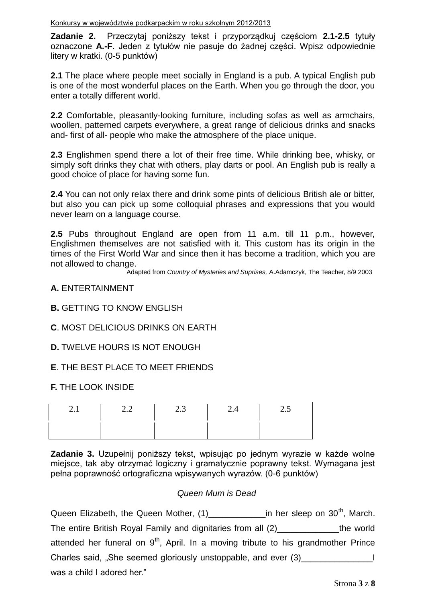**Zadanie 2.** Przeczytaj poniższy tekst i przyporządkuj częściom **2.1-2.5** tytuły oznaczone **A.-F**. Jeden z tytułów nie pasuje do żadnej części. Wpisz odpowiednie litery w kratki. (0-5 punktów)

**2.1** The place where people meet socially in England is a pub. A typical English pub is one of the most wonderful places on the Earth. When you go through the door, you enter a totally different world.

**2.2** Comfortable, pleasantly-looking furniture, including sofas as well as armchairs, woollen, patterned carpets everywhere, a great range of delicious drinks and snacks and- first of all- people who make the atmosphere of the place unique.

**2.3** Englishmen spend there a lot of their free time. While drinking bee, whisky, or simply soft drinks they chat with others, play darts or pool. An English pub is really a good choice of place for having some fun.

**2.4** You can not only relax there and drink some pints of delicious British ale or bitter, but also you can pick up some colloquial phrases and expressions that you would never learn on a language course.

**2.5** Pubs throughout England are open from 11 a.m. till 11 p.m., however, Englishmen themselves are not satisfied with it. This custom has its origin in the times of the First World War and since then it has become a tradition, which you are not allowed to change.

Adapted from *Country of Mysteries and Suprises,* A.Adamczyk, The Teacher, 8/9 2003

#### **A.** ENTERTAINMENT

#### **B.** GETTING TO KNOW ENGLISH

#### **C**. MOST DELICIOUS DRINKS ON EARTH

#### **D.** TWELVE HOURS IS NOT ENOUGH

#### **E**. THE BEST PLACE TO MEET FRIENDS

#### **F.** THE LOOK INSIDE

| 2.1 | $\begin{array}{ccc} & 2.2 \end{array}$ | 2.3<br>and the property | 2.4<br><b>Contract Contract</b> | 2.5 |
|-----|----------------------------------------|-------------------------|---------------------------------|-----|
|     |                                        |                         |                                 |     |

**Zadanie 3.** Uzupełnij poniższy tekst, wpisując po jednym wyrazie w każde wolne miejsce, tak aby otrzymać logiczny i gramatycznie poprawny tekst. Wymagana jest pełna poprawność ortograficzna wpisywanych wyrazów. (0-6 punktów)

#### *Queen Mum is Dead*

Queen Elizabeth, the Queen Mother, (1)\_\_\_\_\_\_\_\_\_\_\_\_\_\_\_\_in her sleep on 30<sup>th</sup>, March. The entire British Royal Family and dignitaries from all (2)\_\_\_\_\_\_\_\_\_\_\_\_\_the world attended her funeral on  $9<sup>th</sup>$ , April. In a moving tribute to his grandmother Prince Charles said, "She seemed gloriously unstoppable, and ever (3)\_\_\_\_\_\_\_\_\_\_\_\_\_\_\_\_\_\_ was a child I adored her."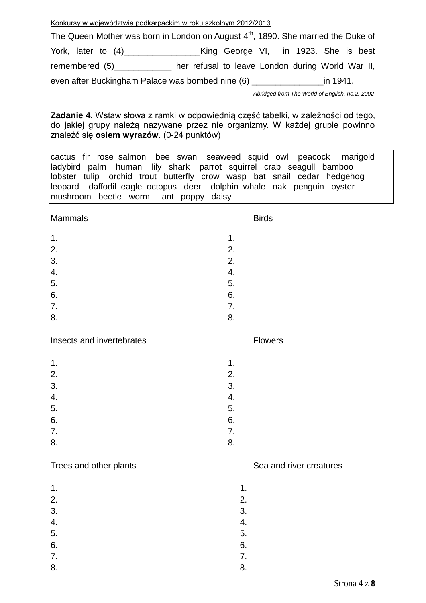Konkursy w województwie podkarpackim w roku szkolnym 2012/2013

The Queen Mother was born in London on August  $4<sup>th</sup>$ , 1890. She married the Duke of York, later to (4)\_\_\_\_\_\_\_\_\_\_\_\_\_\_\_\_King George VI, in 1923. She is best remembered (5)\_\_\_\_\_\_\_\_\_\_\_\_\_ her refusal to leave London during World War II, even after Buckingham Palace was bombed nine (6) \_\_\_\_\_\_\_\_\_\_\_\_\_\_\_in 1941.

*Abridged from The World of English, no.2, 2002*

**Zadanie 4.** Wstaw słowa z ramki w odpowiednią część tabelki, w zależności od tego, do jakiej grupy należą nazywane przez nie organizmy. W każdej grupie powinno znaleźć się **osiem wyrazów**. (0-24 punktów)

cactus fir rose salmon bee swan seaweed squid owl peacock marigold ladybird palm human lily shark parrot squirrel crab seagull bamboo lobster tulip orchid trout butterfly crow wasp bat snail cedar hedgehog leopard daffodil eagle octopus deer dolphin whale oak penguin oyster mushroom beetle worm ant poppy daisy

Mammals **Birds** 

 $1.$  $2.$  $3.$  2. 4. 4.  $5.$  $6.$ 7. 7. 8. 8.

Insects and invertebrates **Flowers** 

| 1. | 1. |
|----|----|
| 2. | 2. |
| 3. | 3. |
| 4. | 4. |
| 5. | 5. |
| 6. | 6. |
| 7. | 7. |
| 8. | 8. |

#### Trees and other plants Trees and river creatures

 $1.$  1.  $2.$  $3.$   $3.$ 4. 4.  $5.$  $6.$  6. 7. 7.

8. 8.

Strona **4** z **8**

- 
- 
- 
- 
- 
- 
-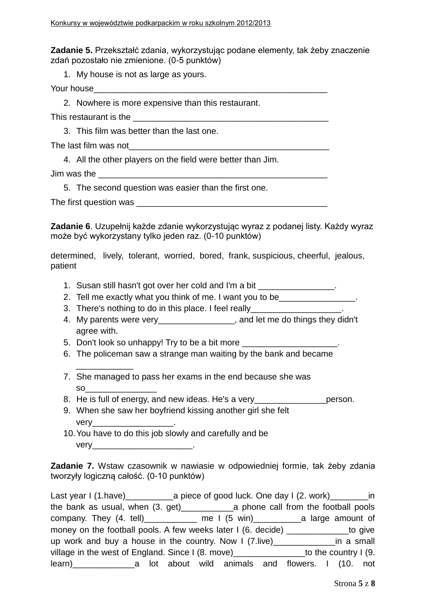**Zadanie 5.** Przekształć zdania, wykorzystując podane elementy, tak żeby znaczenie zdań pozostało nie zmienione. (0-5 punktów)

1. My house is not as large as yours.

Your house\_\_\_\_\_\_\_\_\_\_\_\_\_\_\_\_\_\_\_\_\_\_\_\_\_\_\_\_\_\_\_\_\_\_\_\_\_\_\_\_\_\_\_\_\_\_\_\_\_

2. Nowhere is more expensive than this restaurant.

This restaurant is the  $\blacksquare$ 

3. This film was better than the last one.

The last film was not\_\_\_\_\_\_\_\_\_\_\_\_\_\_\_\_\_\_\_\_\_\_\_\_\_\_\_\_\_\_\_\_\_\_\_\_\_\_\_\_\_\_

4. All the other players on the field were better than Jim.

Jim was the **Lands** and the set of  $\mathbf{L}$ 

5. The second question was easier than the first one.

The first question was **EXECUTE:** 

**Zadanie 6**. Uzupełnij każde zdanie wykorzystując wyraz z podanej listy. Każdy wyraz może być wykorzystany tylko jeden raz. (0-10 punktów)

determined, lively, tolerant, worried, bored, frank, suspicious, cheerful, jealous, patient

- 1. Susan still hasn't got over her cold and I'm a bit
- 2. Tell me exactly what you think of me. I want you to be\_\_\_\_\_\_\_\_\_\_\_\_\_\_\_.
- 3. There's nothing to do in this place. I feel really\_\_\_\_\_\_\_\_\_\_\_\_\_\_\_\_\_\_.
- 4. My parents were very\_\_\_\_\_\_\_\_\_\_\_\_\_\_\_\_, and let me do things they didn't agree with.
- 5. Don't look so unhappy! Try to be a bit more \_\_\_\_\_\_\_\_\_\_\_\_\_\_\_\_\_\_\_\_\_\_\_\_\_\_\_\_\_\_\_\_\_

\_\_\_\_\_\_\_\_\_\_\_\_

- 6. The policeman saw a strange man waiting by the bank and became
- 7. She managed to pass her exams in the end because she was so\_\_\_\_\_\_\_\_\_\_\_\_\_\_\_
- 8. He is full of energy, and new ideas. He's a very\_\_\_\_\_\_\_\_\_\_\_\_\_\_\_\_\_\_\_ person.
- 9. When she saw her boyfriend kissing another girl she felt very the contract of the contract of the contract of the contract of the contract of the contract of the contract of the contract of the contract of the contract of the contract of the contract of the contract of the contr
- 10.You have to do this job slowly and carefully and be very\_\_\_\_\_\_\_\_\_\_\_\_\_\_\_\_\_\_\_\_\_\_\_\_\_\_\_\_\_\_\_\_\_\_.

**Zadanie 7.** Wstaw czasownik w nawiasie w odpowiedniej formie, tak żeby zdania tworzyły logiczną całość. (0-10 punktów)

Last year I (1.have)\_\_\_\_\_\_\_\_\_\_a piece of good luck. One day I (2. work)\_\_\_\_\_\_\_\_in the bank as usual, when (3. get)\_\_\_\_\_\_\_\_\_\_\_a phone call from the football pools company. They (4. tell)\_\_\_\_\_\_\_\_\_\_\_ me I (5 win)\_\_\_\_\_\_\_\_\_\_a large amount of money on the football pools. A few weeks later I (6. decide) \_\_\_\_\_\_\_\_\_\_\_\_\_\_to give up work and buy a house in the country. Now I (7.live)\_\_\_\_\_\_\_\_\_\_\_\_\_in a small village in the west of England. Since I (8. move)  $\overline{\phantom{a}}$  to the country I (9. learn)\_\_\_\_\_\_\_\_\_\_\_\_\_a lot about wild animals and flowers. I (10. not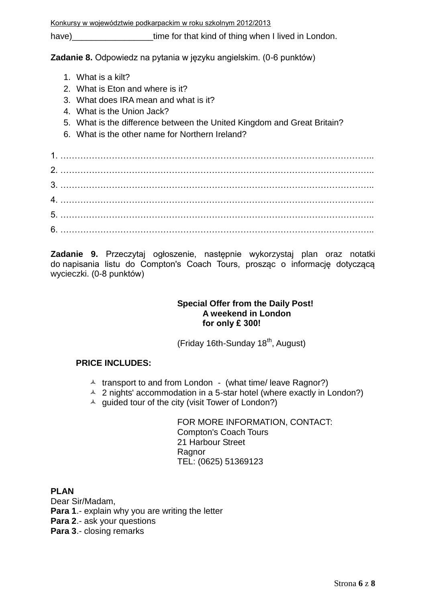Konkursy w województwie podkarpackim w roku szkolnym 2012/2013

have) have have have time for that kind of thing when I lived in London.

**Zadanie 8.** Odpowiedz na pytania w języku angielskim. (0-6 punktów)

- 1. What is a kilt?
- 2. What is Eton and where is it?
- 3. What does IRA mean and what is it?
- 4. What is the Union Jack?
- 5. What is the difference between the United Kingdom and Great Britain?
- 6. What is the other name for Northern Ireland?

**Zadanie 9.** Przeczytaj ogłoszenie, następnie wykorzystaj plan oraz notatki do napisania listu do Compton's Coach Tours, prosząc o informację dotyczącą wycieczki. (0-8 punktów)

#### **Special Offer from the Daily Post! A weekend in London for only £ 300!**

(Friday 16th-Sunday 18<sup>th</sup>, August)

### **PRICE INCLUDES:**

- $\uparrow$  transport to and from London (what time/ leave Ragnor?)
- $\triangle$  2 nights' accommodation in a 5-star hotel (where exactly in London?)
- $\triangle$  guided tour of the city (visit Tower of London?)

FOR MORE INFORMATION, CONTACT: Compton's Coach Tours 21 Harbour Street **Ragnor** TEL: (0625) 51369123

#### **PLAN**

Dear Sir/Madam, **Para 1**.- explain why you are writing the letter **Para 2**.- ask your questions **Para 3**.- closing remarks